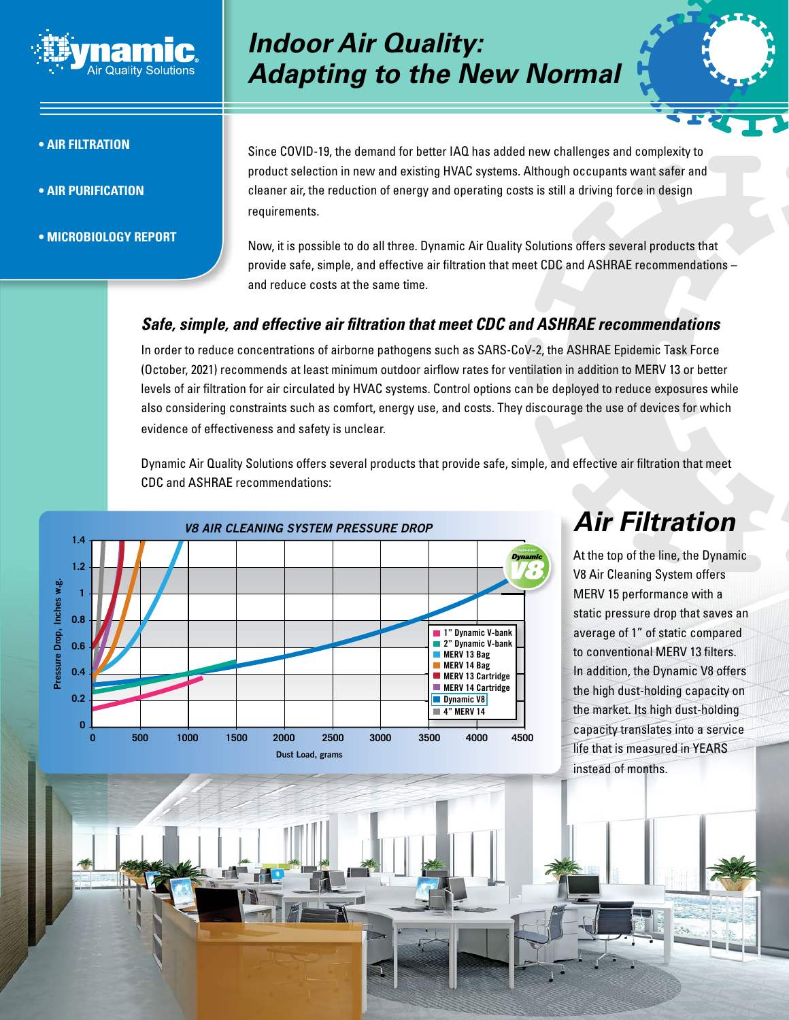

#### **• Air Filtration**

- **Air Purification**
- **Microbiology Report**

### *Indoor Air Quality: Adapting to the New Normal*

Since COVID-19, the demand for better IAQ has added new challenges and complexity to product selection in new and existing HVAC systems. Although occupants want safer and cleaner air, the reduction of energy and operating costs is still a driving force in design requirements.

Now, it is possible to do all three. Dynamic Air Quality Solutions offers several products that provide safe, simple, and effective air filtration that meet CDC and ASHRAE recommendations – and reduce costs at the same time.

### *Safe, simple, and effective air filtration that meet CDC and ASHRAE recommendations*

In order to reduce concentrations of airborne pathogens such as SARS-CoV-2, the ASHRAE Epidemic Task Force (October, 2021) recommends at least minimum outdoor airflow rates for ventilation in addition to MERV 13 or better levels of air filtration for air circulated by HVAC systems. Control options can be deployed to reduce exposures while also considering constraints such as comfort, energy use, and costs. They discourage the use of devices for which evidence of effectiveness and safety is unclear.

Dynamic Air Quality Solutions offers several products that provide safe, simple, and effective air filtration that meet CDC and ASHRAE recommendations:



# *Air Filtration*

At the top of the line, the Dynamic V8 Air Cleaning System offers MERV 15 performance with a static pressure drop that saves an average of 1" of static compared to conventional MERV 13 filters. In addition, the Dynamic V8 offers the high dust-holding capacity on the market. Its high dust-holding capacity translates into a service life that is measured in YEARS instead of months.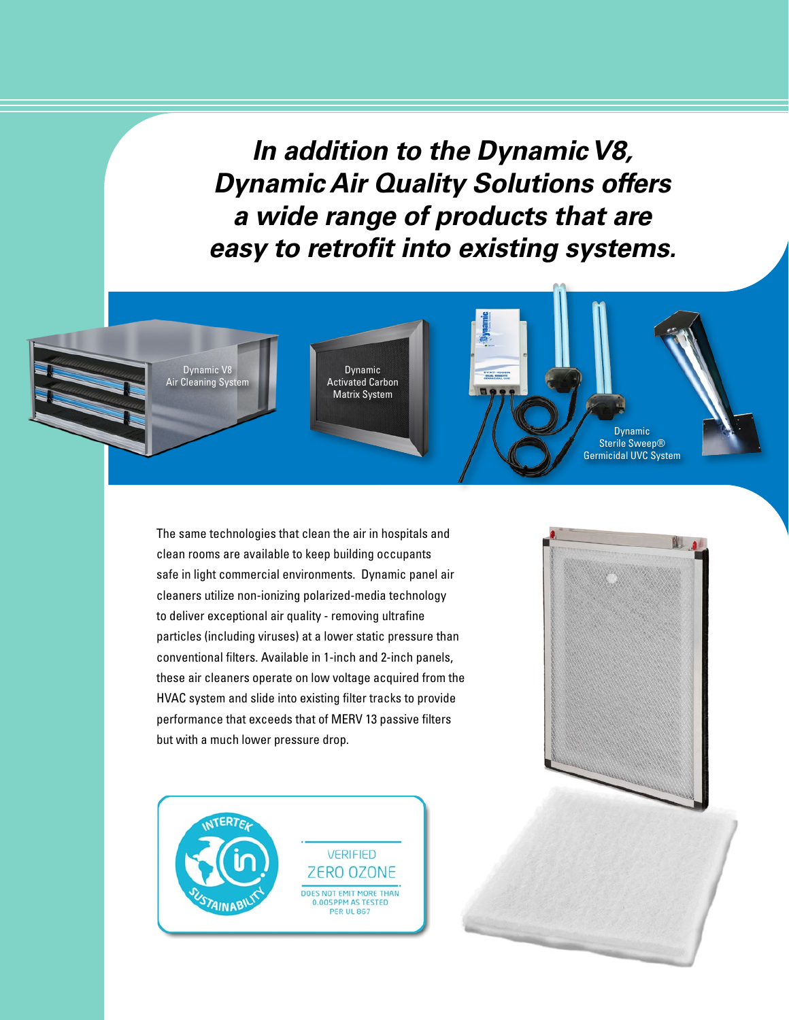*In addition to the Dynamic V8, Dynamic Air Quality Solutions offers a wide range of products that are easy to retrofit into existing systems.*



The same technologies that clean the air in hospitals and clean rooms are available to keep building occupants safe in light commercial environments. Dynamic panel air cleaners utilize non-ionizing polarized-media technology to deliver exceptional air quality - removing ultrafine particles (including viruses) at a lower static pressure than conventional filters. Available in 1-inch and 2-inch panels, these air cleaners operate on low voltage acquired from the HVAC system and slide into existing filter tracks to provide performance that exceeds that of MERV 13 passive filters but with a much lower pressure drop.



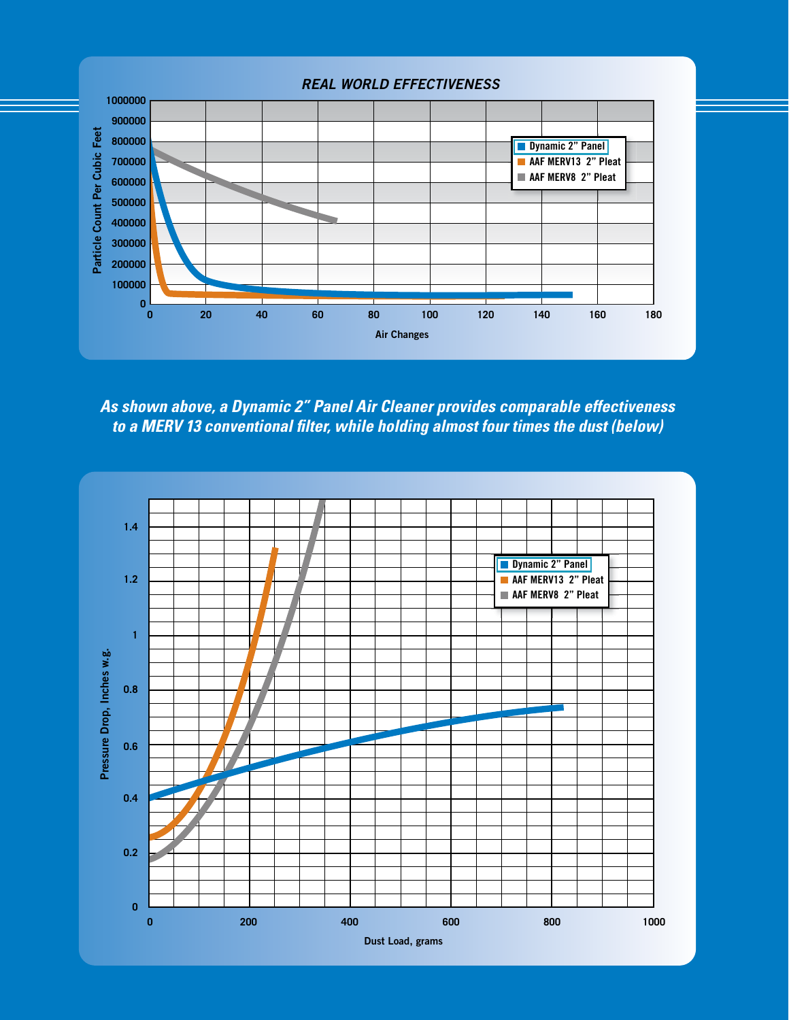

*As shown above, a Dynamic 2" Panel Air Cleaner provides comparable effectiveness to a MERV 13 conventional filter, while holding almost four times the dust (below)*